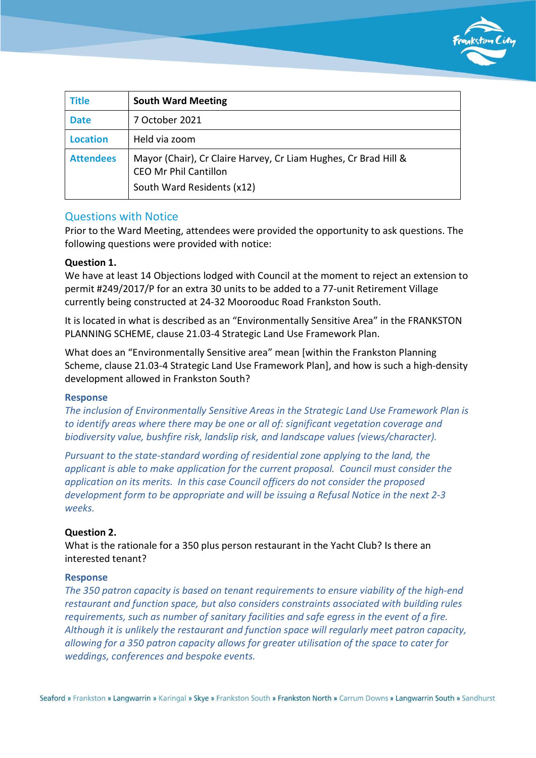

| <b>Title</b>     | <b>South Ward Meeting</b>                                                                                                     |
|------------------|-------------------------------------------------------------------------------------------------------------------------------|
| <b>Date</b>      | 7 October 2021                                                                                                                |
| <b>Location</b>  | Held via zoom                                                                                                                 |
| <b>Attendees</b> | Mayor (Chair), Cr Claire Harvey, Cr Liam Hughes, Cr Brad Hill &<br><b>CEO Mr Phil Cantillon</b><br>South Ward Residents (x12) |

## Questions with Notice

Prior to the Ward Meeting, attendees were provided the opportunity to ask questions. The following questions were provided with notice:

## Question 1.

We have at least 14 Objections lodged with Council at the moment to reject an extension to permit #249/2017/P for an extra 30 units to be added to a 77-unit Retirement Village currently being constructed at 24-32 Moorooduc Road Frankston South.

It is located in what is described as an "Environmentally Sensitive Area" in the FRANKSTON PLANNING SCHEME, clause 21.03-4 Strategic Land Use Framework Plan.

What does an "Environmentally Sensitive area" mean [within the Frankston Planning Scheme, clause 21.03-4 Strategic Land Use Framework Plan], and how is such a high-density development allowed in Frankston South?

#### Response

The inclusion of Environmentally Sensitive Areas in the Strategic Land Use Framework Plan is to identify areas where there may be one or all of: significant vegetation coverage and biodiversity value, bushfire risk, landslip risk, and landscape values (views/character).

Pursuant to the state-standard wording of residential zone applying to the land, the applicant is able to make application for the current proposal. Council must consider the application on its merits. In this case Council officers do not consider the proposed development form to be appropriate and will be issuing a Refusal Notice in the next 2-3 weeks.

#### Question 2.

What is the rationale for a 350 plus person restaurant in the Yacht Club? Is there an interested tenant?

## Response

The 350 patron capacity is based on tenant requirements to ensure viability of the high-end restaurant and function space, but also considers constraints associated with building rules requirements, such as number of sanitary facilities and safe egress in the event of a fire. Although it is unlikely the restaurant and function space will regularly meet patron capacity, allowing for a 350 patron capacity allows for greater utilisation of the space to cater for weddings, conferences and bespoke events.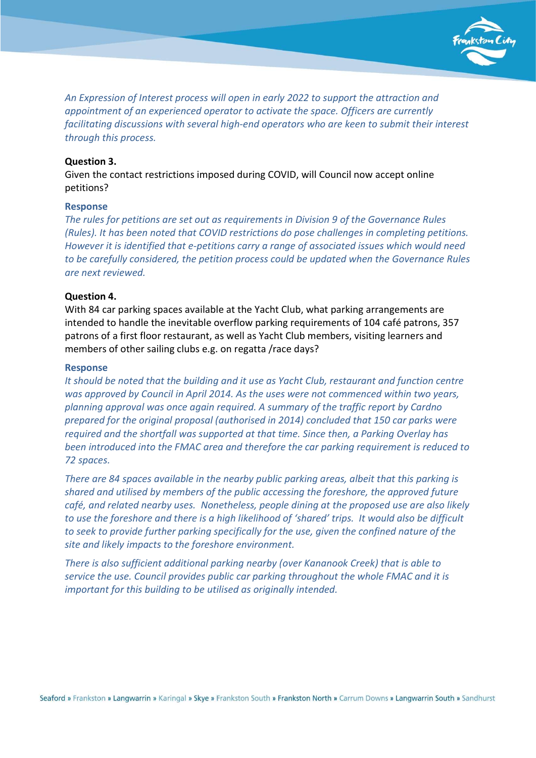

An Expression of Interest process will open in early 2022 to support the attraction and appointment of an experienced operator to activate the space. Officers are currently facilitating discussions with several high-end operators who are keen to submit their interest through this process.

#### Question 3.

Given the contact restrictions imposed during COVID, will Council now accept online petitions?

#### Response

The rules for petitions are set out as requirements in Division 9 of the Governance Rules (Rules). It has been noted that COVID restrictions do pose challenges in completing petitions. However it is identified that e-petitions carry a range of associated issues which would need to be carefully considered, the petition process could be updated when the Governance Rules are next reviewed.

#### Question 4.

With 84 car parking spaces available at the Yacht Club, what parking arrangements are intended to handle the inevitable overflow parking requirements of 104 café patrons, 357 patrons of a first floor restaurant, as well as Yacht Club members, visiting learners and members of other sailing clubs e.g. on regatta /race days?

#### Response

It should be noted that the building and it use as Yacht Club, restaurant and function centre was approved by Council in April 2014. As the uses were not commenced within two years, planning approval was once again required. A summary of the traffic report by Cardno prepared for the original proposal (authorised in 2014) concluded that 150 car parks were required and the shortfall was supported at that time. Since then, a Parking Overlay has been introduced into the FMAC area and therefore the car parking requirement is reduced to 72 spaces.

There are 84 spaces available in the nearby public parking areas, albeit that this parking is shared and utilised by members of the public accessing the foreshore, the approved future café, and related nearby uses. Nonetheless, people dining at the proposed use are also likely to use the foreshore and there is a high likelihood of 'shared' trips. It would also be difficult to seek to provide further parking specifically for the use, given the confined nature of the site and likely impacts to the foreshore environment.

There is also sufficient additional parking nearby (over Kananook Creek) that is able to service the use. Council provides public car parking throughout the whole FMAC and it is important for this building to be utilised as originally intended.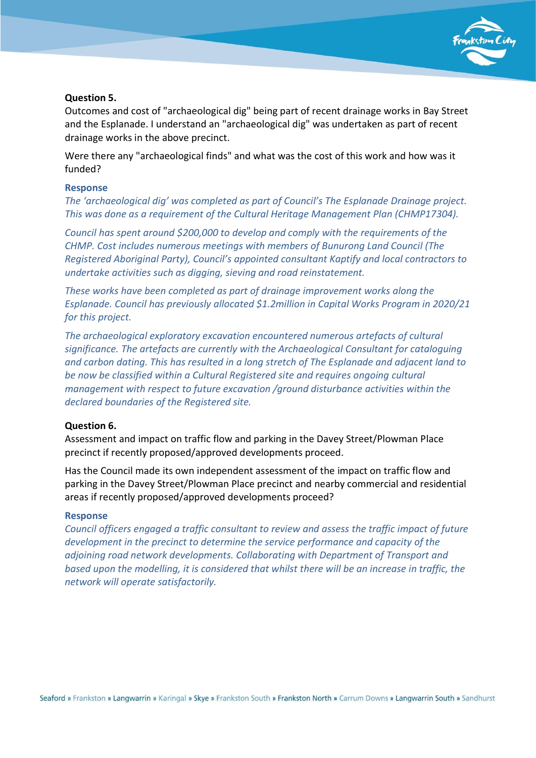

## Question 5.

Outcomes and cost of "archaeological dig" being part of recent drainage works in Bay Street and the Esplanade. I understand an "archaeological dig" was undertaken as part of recent drainage works in the above precinct.

Were there any "archaeological finds" and what was the cost of this work and how was it funded?

### Response

The 'archaeological dig' was completed as part of Council's The Esplanade Drainage project. This was done as a requirement of the Cultural Heritage Management Plan (CHMP17304).

Council has spent around \$200,000 to develop and comply with the requirements of the CHMP. Cost includes numerous meetings with members of Bunurong Land Council (The Registered Aboriginal Party), Council's appointed consultant Kaptify and local contractors to undertake activities such as digging, sieving and road reinstatement.

These works have been completed as part of drainage improvement works along the Esplanade. Council has previously allocated \$1.2million in Capital Works Program in 2020/21 for this project.

The archaeological exploratory excavation encountered numerous artefacts of cultural significance. The artefacts are currently with the Archaeological Consultant for cataloguing and carbon dating. This has resulted in a long stretch of The Esplanade and adjacent land to be now be classified within a Cultural Registered site and requires ongoing cultural management with respect to future excavation /ground disturbance activities within the declared boundaries of the Registered site.

#### Question 6.

Assessment and impact on traffic flow and parking in the Davey Street/Plowman Place precinct if recently proposed/approved developments proceed.

Has the Council made its own independent assessment of the impact on traffic flow and parking in the Davey Street/Plowman Place precinct and nearby commercial and residential areas if recently proposed/approved developments proceed?

#### Response

Council officers engaged a traffic consultant to review and assess the traffic impact of future development in the precinct to determine the service performance and capacity of the adjoining road network developments. Collaborating with Department of Transport and based upon the modelling, it is considered that whilst there will be an increase in traffic, the network will operate satisfactorily.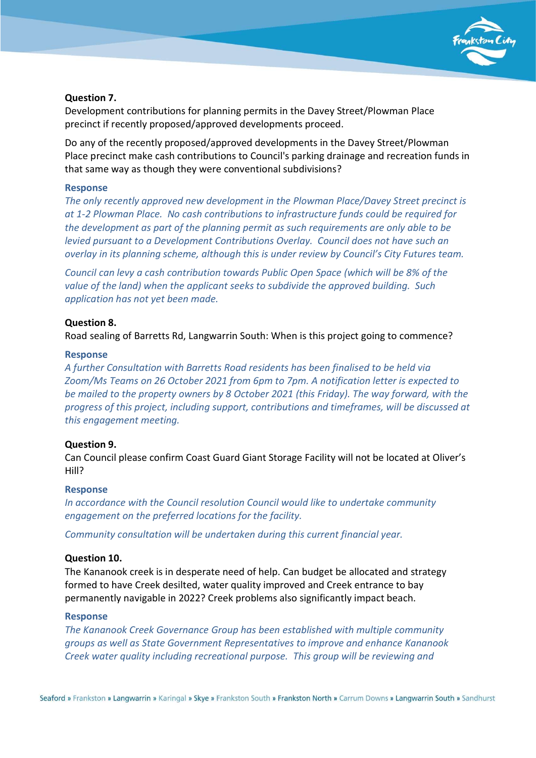

## Question 7.

Development contributions for planning permits in the Davey Street/Plowman Place precinct if recently proposed/approved developments proceed.

Do any of the recently proposed/approved developments in the Davey Street/Plowman Place precinct make cash contributions to Council's parking drainage and recreation funds in that same way as though they were conventional subdivisions?

## Response

The only recently approved new development in the Plowman Place/Davey Street precinct is at 1-2 Plowman Place. No cash contributions to infrastructure funds could be required for the development as part of the planning permit as such requirements are only able to be levied pursuant to a Development Contributions Overlay. Council does not have such an overlay in its planning scheme, although this is under review by Council's City Futures team.

Council can levy a cash contribution towards Public Open Space (which will be 8% of the value of the land) when the applicant seeks to subdivide the approved building. Such application has not yet been made.

# Question 8.

Road sealing of Barretts Rd, Langwarrin South: When is this project going to commence?

## Response

A further Consultation with Barretts Road residents has been finalised to be held via Zoom/Ms Teams on 26 October 2021 from 6pm to 7pm. A notification letter is expected to be mailed to the property owners by 8 October 2021 (this Friday). The way forward, with the progress of this project, including support, contributions and timeframes, will be discussed at this engagement meeting.

# Question 9.

Can Council please confirm Coast Guard Giant Storage Facility will not be located at Oliver's Hill?

# Response

In accordance with the Council resolution Council would like to undertake community engagement on the preferred locations for the facility.

Community consultation will be undertaken during this current financial year.

# Question 10.

The Kananook creek is in desperate need of help. Can budget be allocated and strategy formed to have Creek desilted, water quality improved and Creek entrance to bay permanently navigable in 2022? Creek problems also significantly impact beach.

## Response

The Kananook Creek Governance Group has been established with multiple community groups as well as State Government Representatives to improve and enhance Kananook Creek water quality including recreational purpose. This group will be reviewing and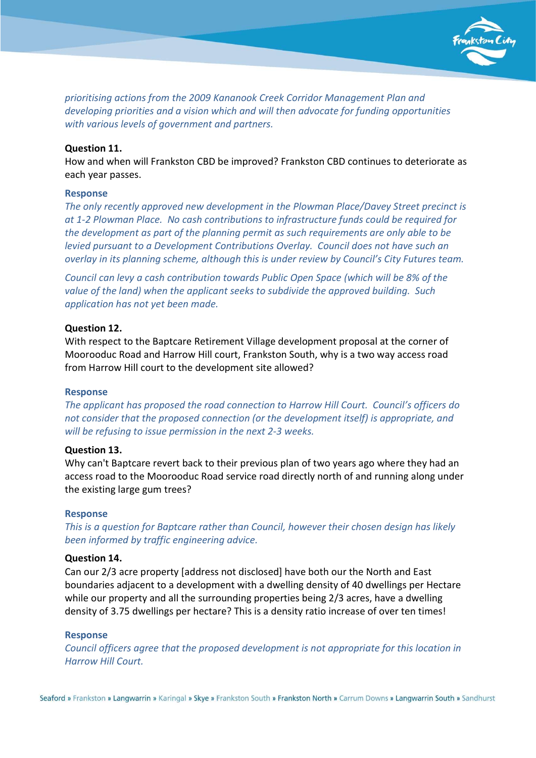

prioritising actions from the 2009 Kananook Creek Corridor Management Plan and developing priorities and a vision which and will then advocate for funding opportunities with various levels of government and partners.

### Question 11.

How and when will Frankston CBD be improved? Frankston CBD continues to deteriorate as each year passes.

### Response

The only recently approved new development in the Plowman Place/Davey Street precinct is at 1-2 Plowman Place. No cash contributions to infrastructure funds could be required for the development as part of the planning permit as such requirements are only able to be levied pursuant to a Development Contributions Overlay. Council does not have such an overlay in its planning scheme, although this is under review by Council's City Futures team.

Council can levy a cash contribution towards Public Open Space (which will be 8% of the value of the land) when the applicant seeks to subdivide the approved building. Such application has not yet been made.

#### Question 12.

With respect to the Baptcare Retirement Village development proposal at the corner of Moorooduc Road and Harrow Hill court, Frankston South, why is a two way access road from Harrow Hill court to the development site allowed?

#### Response

The applicant has proposed the road connection to Harrow Hill Court. Council's officers do not consider that the proposed connection (or the development itself) is appropriate, and will be refusing to issue permission in the next 2-3 weeks.

## Question 13.

Why can't Baptcare revert back to their previous plan of two years ago where they had an access road to the Moorooduc Road service road directly north of and running along under the existing large gum trees?

#### Response

This is a question for Baptcare rather than Council, however their chosen design has likely been informed by traffic engineering advice.

#### Question 14.

Can our 2/3 acre property [address not disclosed] have both our the North and East boundaries adjacent to a development with a dwelling density of 40 dwellings per Hectare while our property and all the surrounding properties being 2/3 acres, have a dwelling density of 3.75 dwellings per hectare? This is a density ratio increase of over ten times!

#### Response

Council officers agree that the proposed development is not appropriate for this location in Harrow Hill Court.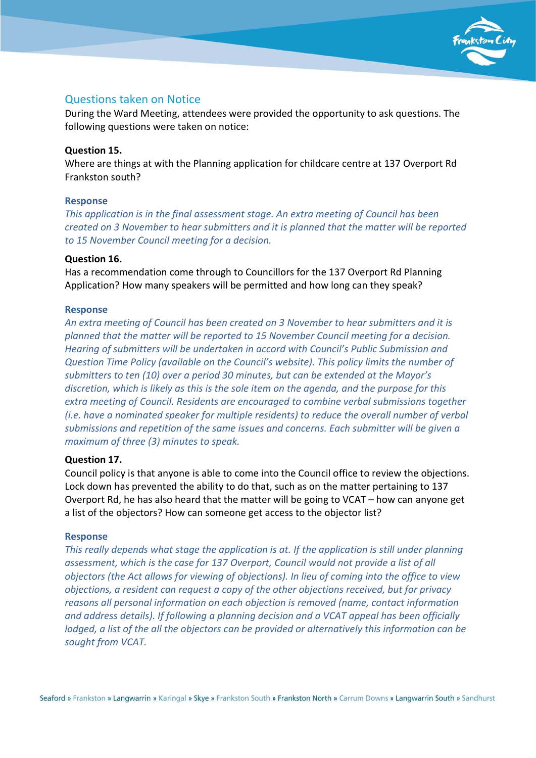

# Questions taken on Notice

During the Ward Meeting, attendees were provided the opportunity to ask questions. The following questions were taken on notice:

### Question 15.

Where are things at with the Planning application for childcare centre at 137 Overport Rd Frankston south?

### Response

This application is in the final assessment stage. An extra meeting of Council has been created on 3 November to hear submitters and it is planned that the matter will be reported to 15 November Council meeting for a decision.

### Question 16.

Has a recommendation come through to Councillors for the 137 Overport Rd Planning Application? How many speakers will be permitted and how long can they speak?

### Response

An extra meeting of Council has been created on 3 November to hear submitters and it is planned that the matter will be reported to 15 November Council meeting for a decision. Hearing of submitters will be undertaken in accord with Council's Public Submission and Question Time Policy (available on the Council's website). This policy limits the number of submitters to ten (10) over a period 30 minutes, but can be extended at the Mayor's discretion, which is likely as this is the sole item on the agenda, and the purpose for this extra meeting of Council. Residents are encouraged to combine verbal submissions together (i.e. have a nominated speaker for multiple residents) to reduce the overall number of verbal submissions and repetition of the same issues and concerns. Each submitter will be given a maximum of three (3) minutes to speak.

### Question 17.

Council policy is that anyone is able to come into the Council office to review the objections. Lock down has prevented the ability to do that, such as on the matter pertaining to 137 Overport Rd, he has also heard that the matter will be going to VCAT – how can anyone get a list of the objectors? How can someone get access to the objector list?

### Response

This really depends what stage the application is at. If the application is still under planning assessment, which is the case for 137 Overport, Council would not provide a list of all objectors (the Act allows for viewing of objections). In lieu of coming into the office to view objections, a resident can request a copy of the other objections received, but for privacy reasons all personal information on each objection is removed (name, contact information and address details). If following a planning decision and a VCAT appeal has been officially lodged, a list of the all the objectors can be provided or alternatively this information can be sought from VCAT.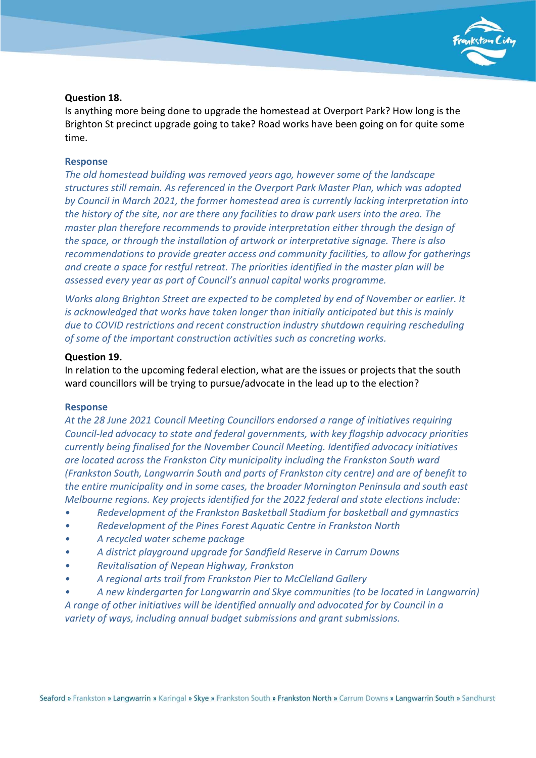

### Question 18.

Is anything more being done to upgrade the homestead at Overport Park? How long is the Brighton St precinct upgrade going to take? Road works have been going on for quite some time.

#### Response

The old homestead building was removed years ago, however some of the landscape structures still remain. As referenced in the Overport Park Master Plan, which was adopted by Council in March 2021, the former homestead area is currently lacking interpretation into the history of the site, nor are there any facilities to draw park users into the area. The master plan therefore recommends to provide interpretation either through the design of the space, or through the installation of artwork or interpretative signage. There is also recommendations to provide greater access and community facilities, to allow for gatherings and create a space for restful retreat. The priorities identified in the master plan will be assessed every year as part of Council's annual capital works programme.

Works along Brighton Street are expected to be completed by end of November or earlier. It is acknowledged that works have taken longer than initially anticipated but this is mainly due to COVID restrictions and recent construction industry shutdown requiring rescheduling of some of the important construction activities such as concreting works.

### Question 19.

In relation to the upcoming federal election, what are the issues or projects that the south ward councillors will be trying to pursue/advocate in the lead up to the election?

#### Response

At the 28 June 2021 Council Meeting Councillors endorsed a range of initiatives requiring Council-led advocacy to state and federal governments, with key flagship advocacy priorities currently being finalised for the November Council Meeting. Identified advocacy initiatives are located across the Frankston City municipality including the Frankston South ward (Frankston South, Langwarrin South and parts of Frankston city centre) and are of benefit to the entire municipality and in some cases, the broader Mornington Peninsula and south east Melbourne regions. Key projects identified for the 2022 federal and state elections include:

- Redevelopment of the Frankston Basketball Stadium for basketball and gymnastics
- Redevelopment of the Pines Forest Aquatic Centre in Frankston North
- A recycled water scheme package
- A district playground upgrade for Sandfield Reserve in Carrum Downs
- Revitalisation of Nepean Highway, Frankston
- A regional arts trail from Frankston Pier to McClelland Gallery
- A new kindergarten for Langwarrin and Skye communities (to be located in Langwarrin)

A range of other initiatives will be identified annually and advocated for by Council in a variety of ways, including annual budget submissions and grant submissions.